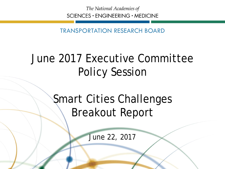The National Academies of SCIENCES · ENGINEERING · MEDICINE

TRANSPORTATION RESEARCH BOARD

# June 2017 Executive Committee Policy Session

Smart Cities Challenges Breakout Report

June 22, 2017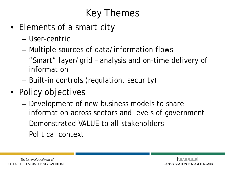# Key Themes

- Elements of a smart city
	- User-centric
	- Multiple sources of data/information flows
	- "Smart" layer/grid analysis and on-time delivery of information
	- Built-in controls (regulation, security)
- Policy objectives
	- Development of new business models to share information across sectors and levels of government
	- Demonstrated VALUE to all stakeholders
	- Political context



The National Academies of  $SCIENCES · ENGINEERING · MEDICINE$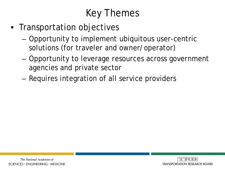# Key Themes

- Transportation objectives
	- Opportunity to implement ubiquitous user-centric solutions (for traveler and owner/operator)
	- Opportunity to leverage resources across government agencies and private sector
	- Requires integration of all service providers

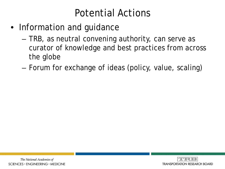#### Potential Actions

- Information and guidance
	- TRB, as neutral convening authority, can serve as curator of knowledge and best practices from across the globe
	- Forum for exchange of ideas (policy, value, scaling)



The National Academies of  $SCIENCES · ENGINEERING · MEDICINE$